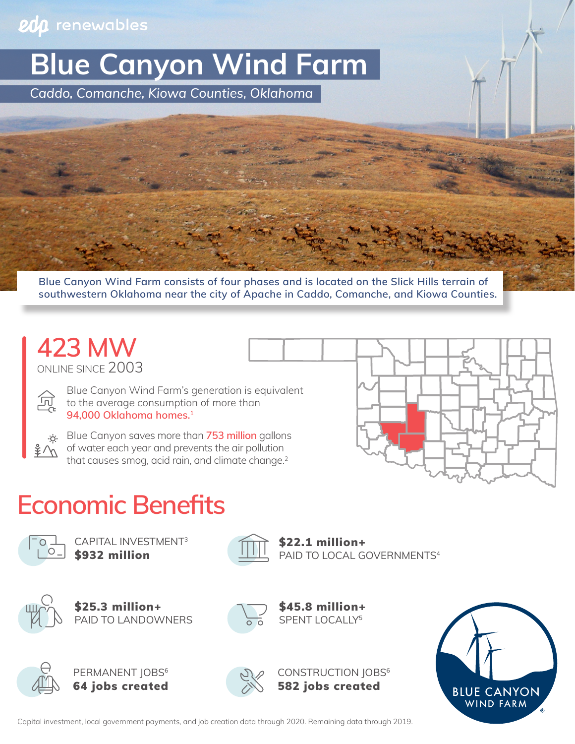#### eda renewables

**Blue Canyon Wind Farm**

*Caddo, Comanche, Kiowa Counties, Oklahoma*

**Blue Canyon Wind Farm consists of four phases and is located on the Slick Hills terrain of southwestern Oklahoma near the city of Apache in Caddo, Comanche, and Kiowa Counties.**

### ONLINE SINCE 2003 **423 MW**

Blue Canyon Wind Farm's generation is equivalent to the average consumption of more than **94,000 Oklahoma homes.1**



Blue Canyon saves more than **753 million** gallons of water each year and prevents the air pollution that causes smog, acid rain, and climate change.<sup>2</sup>



# **Economic Benefits**



CAPITAL INVESTMENT3



\$932 million **PAID TO LOCAL GOVERNMENTS**4 \$22.1 million+



PAID TO LANDOWNERS \$25.3 million+







PERMANENT JOBS<sup>6</sup> 64 jobs created



CONSTRUCTION JOBS<sup>6</sup> 582 jobs created



Capital investment, local government payments, and job creation data through 2020. Remaining data through 2019.